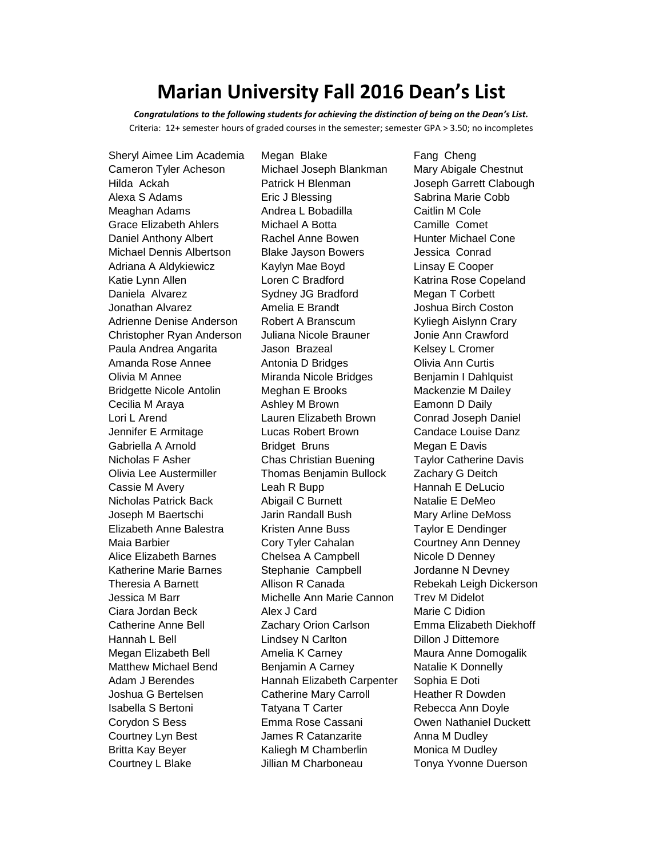## **Marian University Fall 2016 Dean's List**

*Congratulations to the following students for achieving the distinction of being on the Dean's List.* Criteria: 12+ semester hours of graded courses in the semester; semester GPA > 3.50; no incompletes

Courtney L Blake **Jillian M Charboneau** Tonya Yvonne Duerson

Sheryl Aimee Lim Academia Megan Blake Fang Cheng Cameron Tyler Acheson Michael Joseph Blankman Mary Abigale Chestnut Hilda Ackah Patrick H Blenman Joseph Garrett Clabough Alexa S Adams **Eric J Blessing** Sabrina Marie Cobb Meaghan Adams **Andrea L Bobadilla** Caitlin M Cole Grace Elizabeth Ahlers Michael A Botta Camille Comet Daniel Anthony Albert Rachel Anne Bowen Hunter Michael Cone Michael Dennis Albertson Blake Jayson Bowers Jessica Conrad Adriana A Aldykiewicz Kaylyn Mae Boyd Linsay E Cooper Katie Lynn Allen **Loren C Bradford** Katrina Rose Copeland Daniela Alvarez Sydney JG Bradford Megan T Corbett Jonathan Alvarez Amelia E Brandt Joshua Birch Coston Adrienne Denise Anderson Robert A Branscum Kyliegh Aislynn Crary Christopher Ryan Anderson Juliana Nicole Brauner Jonie Ann Crawford Paula Andrea Angarita **Interpretision Brazeal** Mercule Relsey L Cromer Amanda Rose Annee Antonia D Bridges Olivia Ann Curtis Olivia M Annee **Miranda Nicole Bridges** Benjamin I Dahlquist Bridgette Nicole Antolin Meghan E Brooks Mackenzie M Dailey Cecilia M Araya **Ashley M Brown** Eamonn D Daily Lori L Arend Lauren Elizabeth Brown Conrad Joseph Daniel Jennifer E Armitage Lucas Robert Brown Candace Louise Danz Gabriella A Arnold **Bridget Bruns** Megan E Davis Nicholas F Asher Chas Christian Buening Taylor Catherine Davis Olivia Lee Austermiller Thomas Benjamin Bullock Zachary G Deitch Cassie M Avery **Leah R Bupp** Hannah E DeLucio Nicholas Patrick Back Abigail C Burnett Natalie E DeMeo Joseph M Baertschi Jarin Randall Bush Mary Arline DeMoss Elizabeth Anne Balestra Kristen Anne Buss Taylor E Dendinger Maia Barbier Cory Tyler Cahalan Courtney Ann Denney Alice Elizabeth Barnes Chelsea A Campbell Nicole D Denney Katherine Marie Barnes Stephanie Campbell Jordanne N Devney Theresia A Barnett Allison R Canada Rebekah Leigh Dickerson Jessica M Barr Michelle Ann Marie Cannon Trev M Didelot Ciara Jordan Beck Alex J Card Marie C Didion Catherine Anne Bell Zachary Orion Carlson Emma Elizabeth Diekhoff Hannah L Bell Lindsey N Carlton Dillon J Dittemore Megan Elizabeth Bell Amelia K Carney Maura Anne Domogalik Matthew Michael Bend Benjamin A Carney Natalie K Donnelly Adam J Berendes **Hannah Elizabeth Carpenter** Sophia E Doti Joshua G Bertelsen Catherine Mary Carroll Heather R Dowden Isabella S Bertoni **Tatyana T Carter Rebecca Ann Doyle** Corydon S Bess Emma Rose Cassani Owen Nathaniel Duckett Courtney Lyn Best **Catanzarite** Anna M Dudley Britta Kay Beyer **Kaliegh M Chamberlin** Monica M Dudley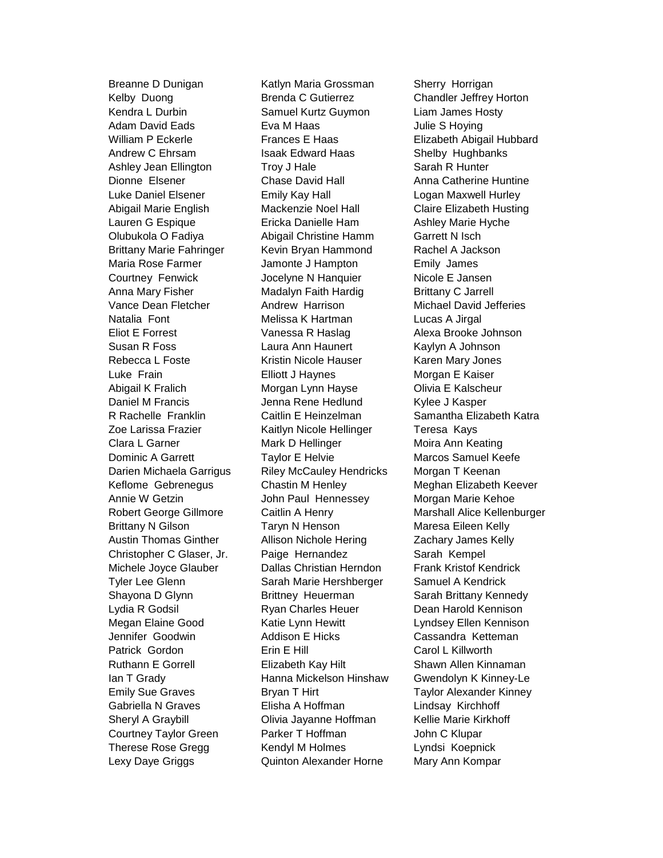Breanne D Dunigan Katlyn Maria Grossman Sherry Horrigan Lexy Daye Griggs Quinton Alexander Horne Mary Ann Kompar

Kelby Duong Brenda C Gutierrez Chandler Jeffrey Horton Kendra L Durbin Samuel Kurtz Guymon Liam James Hosty Adam David Eads **Exa M Haas** Board Computer S Hoying William P Eckerle **Frances E Haas** Elizabeth Abigail Hubbard Andrew C Ehrsam **Isaak Edward Haas** Shelby Hughbanks Ashley Jean Ellington Troy J Hale Sarah R Hunter Dionne Elsener Chase David Hall Anna Catherine Huntine Luke Daniel Elsener Emily Kay Hall Logan Maxwell Hurley Abigail Marie English Mackenzie Noel Hall Claire Elizabeth Husting Lauren G Espique **Ericka Danielle Ham** Ashley Marie Hyche Olubukola O Fadiya Abigail Christine Hamm Garrett N Isch Brittany Marie Fahringer Kevin Bryan Hammond Rachel A Jackson Maria Rose Farmer **Jamonte J Hampton** Emily James Courtney Fenwick **Courtney Fenwick** Jocelyne N Hanquier Nicole E Jansen Anna Mary Fisher **Madalyn Faith Hardig Communist Contrary C** Jarrell Vance Dean Fletcher Andrew Harrison Michael David Jefferies Natalia Font Melissa K Hartman Lucas A Jirgal Eliot E Forrest Vanessa R Haslag Alexa Brooke Johnson Susan R Foss **Laura Ann Haunert** Kaylyn A Johnson Rebecca L Foste **Kristin Nicole Hauser** Karen Mary Jones Luke Frain Elliott J Haynes Morgan E Kaiser Abigail K Fralich **Morgan Lynn Hayse** Olivia E Kalscheur Daniel M Francis **Jenna Rene Hedlund** Kylee J Kasper R Rachelle Franklin Caitlin E Heinzelman Samantha Elizabeth Katra Zoe Larissa Frazier **Kaitlyn Nicole Hellinger** Teresa Kays Clara L Garner Mark D Hellinger Moira Ann Keating Dominic A Garrett Taylor E Helvie Marcos Samuel Keefe Darien Michaela Garrigus Riley McCauley Hendricks Morgan T Keenan Keflome Gebrenegus Chastin M Henley Meghan Elizabeth Keever Annie W Getzin John Paul Hennessey Morgan Marie Kehoe Brittany N Gilson Taryn N Henson Maresa Eileen Kelly Austin Thomas Ginther Allison Nichole Hering Zachary James Kelly Christopher C Glaser, Jr. Paige Hernandez Sarah Kempel Michele Joyce Glauber Dallas Christian Herndon Frank Kristof Kendrick Tyler Lee Glenn Sarah Marie Hershberger Samuel A Kendrick Shayona D Glynn **Brittney Heuerman** Sarah Brittany Kennedy Lydia R Godsil Ryan Charles Heuer Dean Harold Kennison Megan Elaine Good Katie Lynn Hewitt Lyndsey Ellen Kennison Jennifer Goodwin Addison E Hicks Cassandra Ketteman Patrick Gordon **Erin E** Hill **Carol L Killworth** Ruthann E Gorrell **Elizabeth Kay Hilt** Shawn Allen Kinnaman Ian T Grady Hanna Mickelson Hinshaw Gwendolyn K Kinney-Le Emily Sue Graves **Bryan T Hirt** Taylor Alexander Kinney Gabriella N Graves **Elisha A Hoffman Lindsay Kirchhoff** Sheryl A Graybill **Olivia Jayanne Hoffman** Kellie Marie Kirkhoff Courtney Taylor Green Parker T Hoffman John C Klupar Therese Rose Gregg Kendyl M Holmes Lyndsi Koepnick

Robert George Gillmore Caitlin A Henry **Marshall Alice Kellenburger**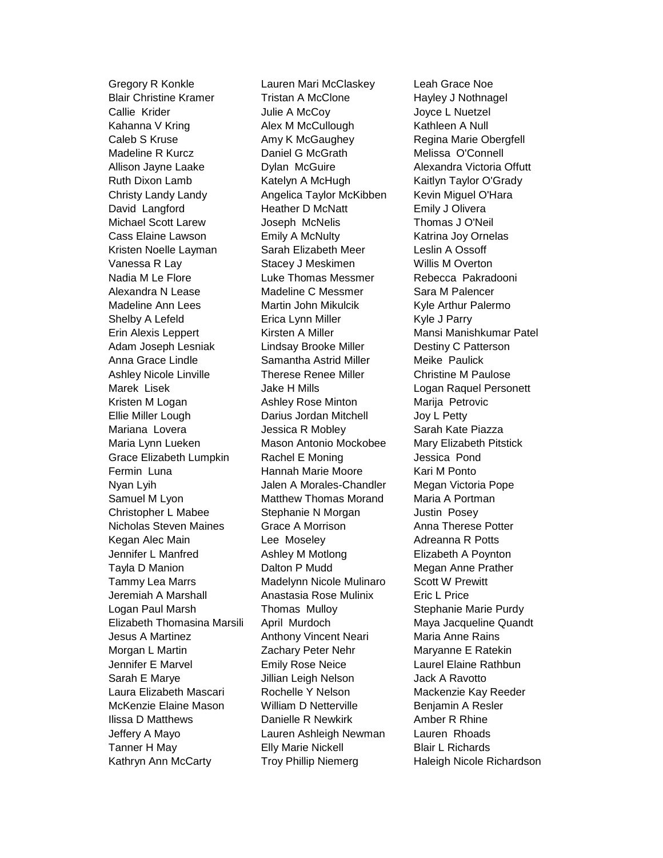Gregory R Konkle Lauren Mari McClaskey Leah Grace Noe

Blair Christine Kramer Tristan A McClone Hayley J Nothnagel Callie Krider Julie A McCoy Joyce L Nuetzel Kahanna V Kring **Alex M McCullough** Kathleen A Null Caleb S Kruse **Amy K McGaughey** Regina Marie Obergfell Madeline R Kurcz **Daniel G McGrath Melissa O'Connell** Allison Jayne Laake Dylan McGuire Alexandra Victoria Offutt Ruth Dixon Lamb Katelyn A McHugh Kaitlyn Taylor O'Grady Christy Landy Landy Angelica Taylor McKibben Kevin Miguel O'Hara David Langford **Heather D McNatt** Emily J Olivera Michael Scott Larew Joseph McNelis Thomas J O'Neil Cass Elaine Lawson **Emily A McNulty Emily A McNulty** Katrina Joy Ornelas Kristen Noelle Layman Sarah Elizabeth Meer Leslin A Ossoff Vanessa R Lay Stacey J Meskimen Willis M Overton Nadia M Le Flore Luke Thomas Messmer Rebecca Pakradooni Alexandra N Lease Madeline C Messmer Sara M Palencer Madeline Ann Lees **Martin John Mikulcik** Kyle Arthur Palermo Shelby A Lefeld Erica Lynn Miller Kyle J Parry Erin Alexis Leppert Kirsten A Miller Mansi Manishkumar Patel Adam Joseph Lesniak Lindsay Brooke Miller Destiny C Patterson Anna Grace Lindle **Samantha Astrid Miller** Meike Paulick Ashley Nicole Linville Therese Renee Miller Christine M Paulose Marek Lisek Jake H Mills Logan Raquel Personett Kristen M Logan **Ashley Rose Minton** Marija Petrovic Ellie Miller Lough Darius Jordan Mitchell Joy L Petty Mariana Lovera **Mariana Industry Sarah Kate Piazza** Maria Lynn Lueken Mason Antonio Mockobee Mary Elizabeth Pitstick Grace Elizabeth Lumpkin Rachel E Moning States University Jessica Pond Fermin Luna **Hannah Marie Moore** Kari M Ponto Nyan Lyih Jalen A Morales-Chandler Megan Victoria Pope Samuel M Lyon Matthew Thomas Morand Maria A Portman Christopher L Mabee Stephanie N Morgan Justin Posey Nicholas Steven Maines Grace A Morrison Anna Therese Potter Kegan Alec Main **Lee Moseley Communist Adreanna R Potts** Jennifer L Manfred Ashley M Motlong Elizabeth A Poynton Tayla D Manion **Nation 2** Dalton P Mudd Megan Anne Prather Tammy Lea Marrs Madelynn Nicole Mulinaro Scott W Prewitt Jeremiah A Marshall Anastasia Rose Mulinix Eric L Price Logan Paul Marsh **Thomas Mulloy** Stephanie Marie Purdy Elizabeth Thomasina Marsili April Murdoch Maya Jacqueline Quandt Jesus A Martinez Anthony Vincent Neari Maria Anne Rains Morgan L Martin **Nation 2** Zachary Peter Nehr Maryanne E Ratekin Jennifer E Marvel **Emily Rose Neice Laurel Elaine Rathbun** Sarah E Marye **Jillian Leigh Nelson** Jack A Ravotto Laura Elizabeth Mascari Rochelle Y Nelson Mackenzie Kay Reeder McKenzie Elaine Mason William D Netterville Benjamin A Resler Ilissa D Matthews Danielle R Newkirk Amber R Rhine Jeffery A Mayo Lauren Ashleigh Newman Lauren Rhoads Tanner H May **Elly Marie Nickell** Blair L Richards Kathryn Ann McCarty **Troy Phillip Niemerg** Haleigh Nicole Richardson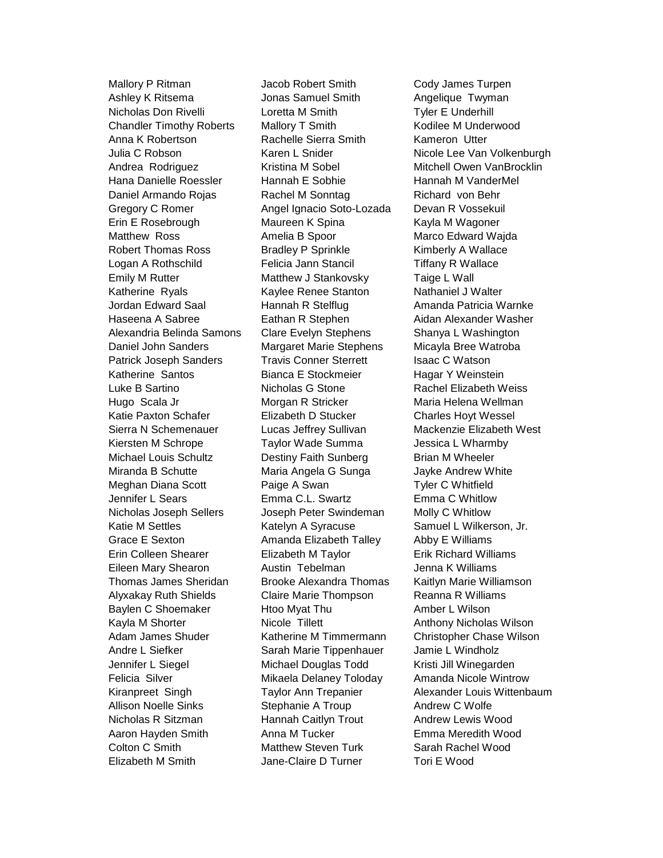Mallory P Ritman **Jacob Robert Smith** Cody James Turpen Ashley K Ritsema Jonas Samuel Smith Angelique Twyman Nicholas Don Rivelli Loretta M Smith Tyler E Underhill Chandler Timothy Roberts Mallory T Smith Kodilee M Underwood Anna K Robertson Rachelle Sierra Smith Kameron Utter Andrea Rodriguez **Kristina M Sobel Mitchell Owen VanBrocklin** Hana Danielle Roessler Hannah E Sobhie Hannah M VanderMel Daniel Armando Rojas Rachel M Sonntag Richard von Behr Gregory C Romer Angel Ignacio Soto-Lozada Devan R Vossekuil Erin E Rosebrough **Maureen K Spina** Kayla M Wagoner Matthew Ross **Amelia B Spoor** Marco Edward Wajda Robert Thomas Ross Bradley P Sprinkle Kimberly A Wallace Logan A Rothschild Felicia Jann Stancil Tiffany R Wallace Emily M Rutter **Matthew J Stankovsky** Taige L Wall Katherine Ryals **Kaylee Renee Stanton** Nathaniel J Walter Jordan Edward Saal **Hannah R Stelflug** Amanda Patricia Warnke Haseena A Sabree **Eathan R** Stephen **Aidan Alexander Washer** Alexandria Belinda Samons Clare Evelyn Stephens Shanya L Washington Daniel John Sanders Margaret Marie Stephens Micayla Bree Watroba Patrick Joseph Sanders Travis Conner Sterrett Isaac C Watson Katherine Santos **Bianca E Stockmeier** Hagar Y Weinstein Luke B Sartino **Nicholas G** Stone Rachel Elizabeth Weiss Hugo Scala Jr **Morgan R** Stricker Maria Helena Wellman Katie Paxton Schafer **Elizabeth D Stucker** Charles Hoyt Wessel Sierra N Schemenauer Lucas Jeffrey Sullivan Mackenzie Elizabeth West Kiersten M Schrope Taylor Wade Summa Jessica L Wharmby Michael Louis Schultz **Destiny Faith Sunberg Brian M Wheeler** Miranda B Schutte **Maria Angela G Sunga** Jayke Andrew White Meghan Diana Scott **Paige A Swan Tyler C Whitfield** Jennifer L Sears Emma C.L. Swartz Emma C Whitlow Nicholas Joseph Sellers Joseph Peter Swindeman Molly C Whitlow Katie M Settles **Katelyn A Syracuse** Samuel L Wilkerson, Jr. Grace E Sexton **Amanda Elizabeth Talley** Abby E Williams Erin Colleen Shearer Elizabeth M Taylor Erik Richard Williams Eileen Mary Shearon Austin Tebelman Jenna K Williams Thomas James Sheridan Brooke Alexandra Thomas Kaitlyn Marie Williamson Alyxakay Ruth Shields Claire Marie Thompson Reanna R Williams Baylen C Shoemaker Htoo Myat Thu Amber L Wilson Kayla M Shorter **Nicole Tillett** Anthony Nicholas Wilson Adam James Shuder **Katherine M Timmermann** Christopher Chase Wilson Andre L Siefker Sarah Marie Tippenhauer Jamie L Windholz Jennifer L Siegel Michael Douglas Todd Kristi Jill Winegarden Felicia Silver Mikaela Delaney Toloday Amanda Nicole Wintrow Allison Noelle Sinks Stephanie A Troup Andrew C Wolfe Nicholas R Sitzman Hannah Caitlyn Trout Andrew Lewis Wood Aaron Hayden Smith Anna M Tucker **Emma Meredith Wood** Colton C Smith Matthew Steven Turk Sarah Rachel Wood Elizabeth M Smith Jane-Claire D Turner Tori E Wood

Julia C Robson **Karen L Snider** Nicole Lee Van Volkenburgh Kiranpreet Singh Taylor Ann Trepanier Alexander Louis Wittenbaum